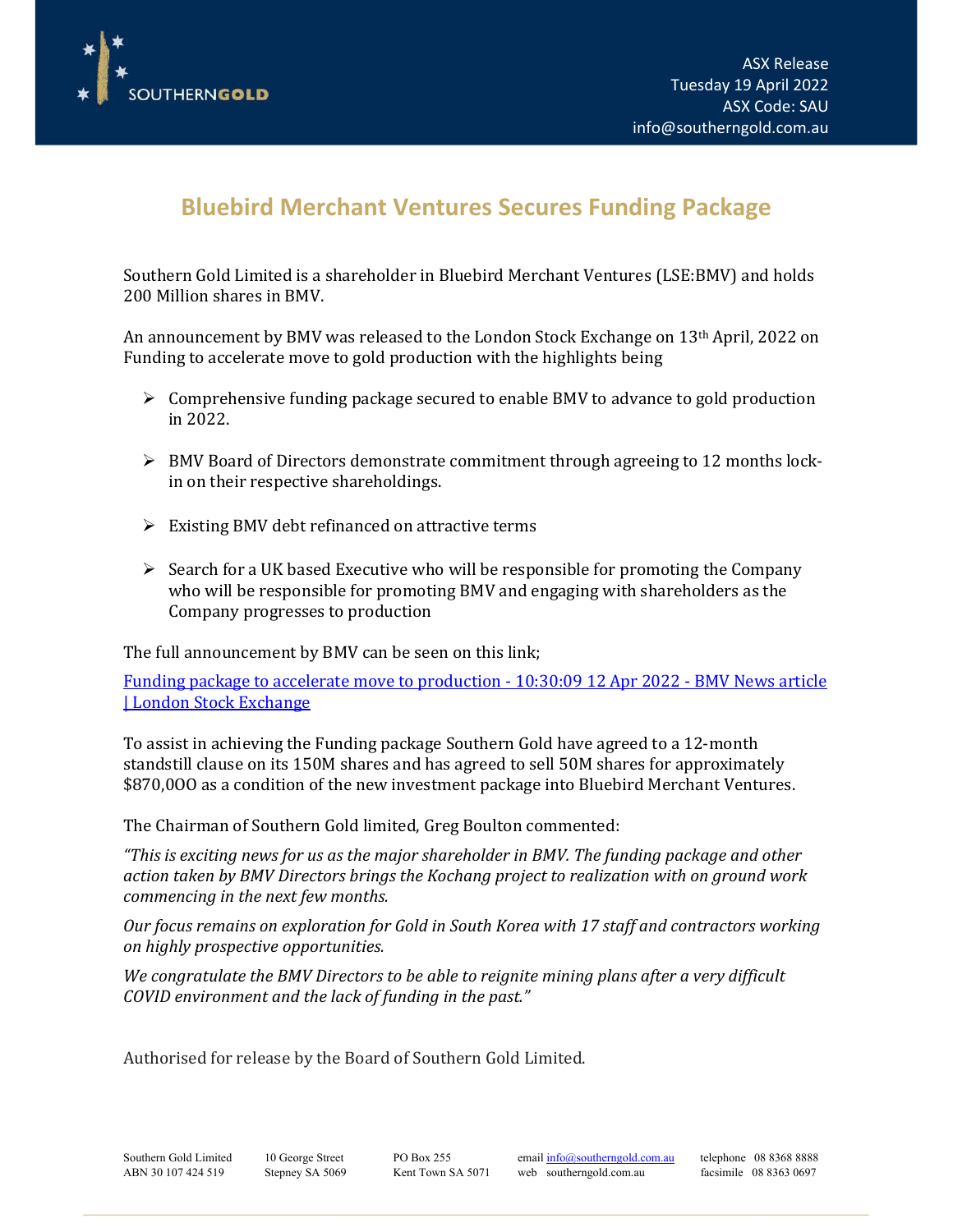

I

## **Bluebird Merchant Ventures Secures Funding Package**

Southern Gold Limited is a shareholder in Bluebird Merchant Ventures (LSE:BMV) and holds 200 Million shares in BMV.

An announcement by BMV was released to the London Stock Exchange on  $13<sup>th</sup>$  April, 2022 on Funding to accelerate move to gold production with the highlights being

- $\triangleright$  Comprehensive funding package secured to enable BMV to advance to gold production in 2022.
- BMV Board of Directors demonstrate commitment through agreeing to 12 months lockin on their respective shareholdings.
- $\triangleright$  Existing BMV debt refinanced on attractive terms
- $\triangleright$  Search for a UK based Executive who will be responsible for promoting the Company who will be responsible for promoting BMV and engaging with shareholders as the Company progresses to production

The full announcement by BMV can be seen on this link;

Funding package to accelerate move to production - 10:30:09 12 Apr 2022 - BMV News article | London Stock Exchange

To assist in achieving the Funding package Southern Gold have agreed to a 12-month standstill clause on its 150M shares and has agreed to sell 50M shares for approximately \$870,0OO as a condition of the new investment package into Bluebird Merchant Ventures.

The Chairman of Southern Gold limited, Greg Boulton commented:

*"This is exciting news for us as the major shareholder in BMV. The funding package and other action taken by BMV Directors brings the Kochang project to realization with on ground work commencing in the next few months.*

*Our focus remains on exploration for Gold in South Korea with 17 staff and contractors working on highly prospective opportunities.*

*We congratulate the BMV Directors to be able to reignite mining plans after a very difficult COVID environment and the lack of funding in the past."*

Authorised for release by the Board of Southern Gold Limited.